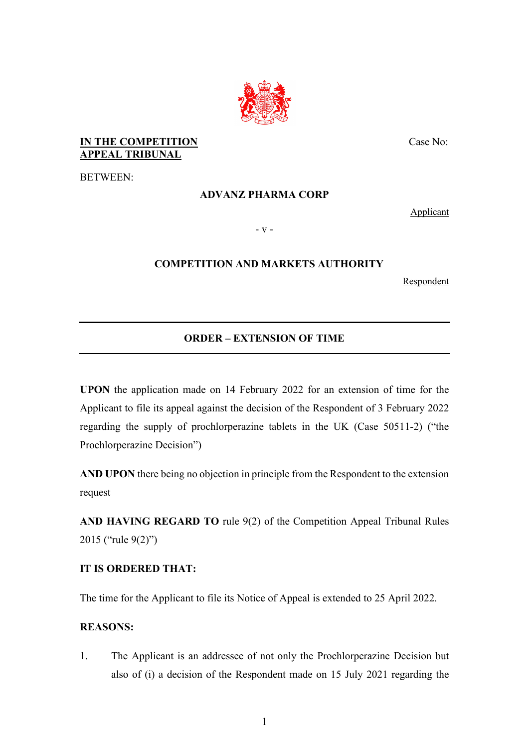

## **IN THE COMPETITION APPEAL TRIBUNAL**

BETWEEN:

## **ADVANZ PHARMA CORP**

Applicant

Case No:

- v -

## **COMPETITION AND MARKETS AUTHORITY**

Respondent

# **ORDER – EXTENSION OF TIME**

**UPON** the application made on 14 February 2022 for an extension of time for the Applicant to file its appeal against the decision of the Respondent of 3 February 2022 regarding the supply of prochlorperazine tablets in the UK (Case 50511-2) ("the Prochlorperazine Decision")

**AND UPON** there being no objection in principle from the Respondent to the extension request

**AND HAVING REGARD TO** rule 9(2) of the Competition Appeal Tribunal Rules 2015 ("rule 9(2)")

## **IT IS ORDERED THAT:**

The time for the Applicant to file its Notice of Appeal is extended to 25 April 2022.

#### **REASONS:**

1. The Applicant is an addressee of not only the Prochlorperazine Decision but also of (i) a decision of the Respondent made on 15 July 2021 regarding the

1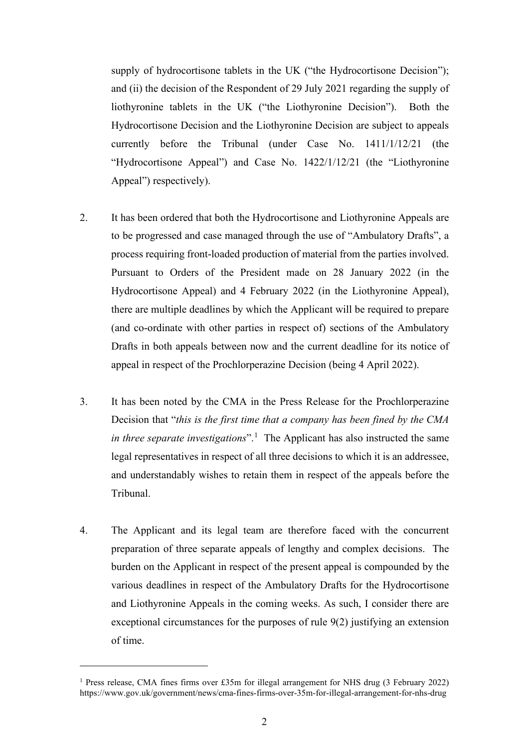supply of hydrocortisone tablets in the UK ("the Hydrocortisone Decision"); and (ii) the decision of the Respondent of 29 July 2021 regarding the supply of liothyronine tablets in the UK ("the Liothyronine Decision"). Both the Hydrocortisone Decision and the Liothyronine Decision are subject to appeals currently before the Tribunal (under Case No. 1411/1/12/21 (the "Hydrocortisone Appeal") and Case No. 1422/1/12/21 (the "Liothyronine Appeal") respectively).

- 2. It has been ordered that both the Hydrocortisone and Liothyronine Appeals are to be progressed and case managed through the use of "Ambulatory Drafts", a process requiring front-loaded production of material from the parties involved. Pursuant to Orders of the President made on 28 January 2022 (in the Hydrocortisone Appeal) and 4 February 2022 (in the Liothyronine Appeal), there are multiple deadlines by which the Applicant will be required to prepare (and co-ordinate with other parties in respect of) sections of the Ambulatory Drafts in both appeals between now and the current deadline for its notice of appeal in respect of the Prochlorperazine Decision (being 4 April 2022).
- 3. It has been noted by the CMA in the Press Release for the Prochlorperazine Decision that "*this is the first time that a company has been fined by the CMA*  in three separate investigations".<sup>1</sup> The Applicant has also instructed the same legal representatives in respect of all three decisions to which it is an addressee, and understandably wishes to retain them in respect of the appeals before the Tribunal.
- 4. The Applicant and its legal team are therefore faced with the concurrent preparation of three separate appeals of lengthy and complex decisions. The burden on the Applicant in respect of the present appeal is compounded by the various deadlines in respect of the Ambulatory Drafts for the Hydrocortisone and Liothyronine Appeals in the coming weeks. As such, I consider there are exceptional circumstances for the purposes of rule 9(2) justifying an extension of time.

<sup>&</sup>lt;sup>1</sup> Press release, CMA fines firms over £35m for illegal arrangement for NHS drug (3 February 2022) https://www.gov.uk/government/news/cma-fines-firms-over-35m-for-illegal-arrangement-for-nhs-drug